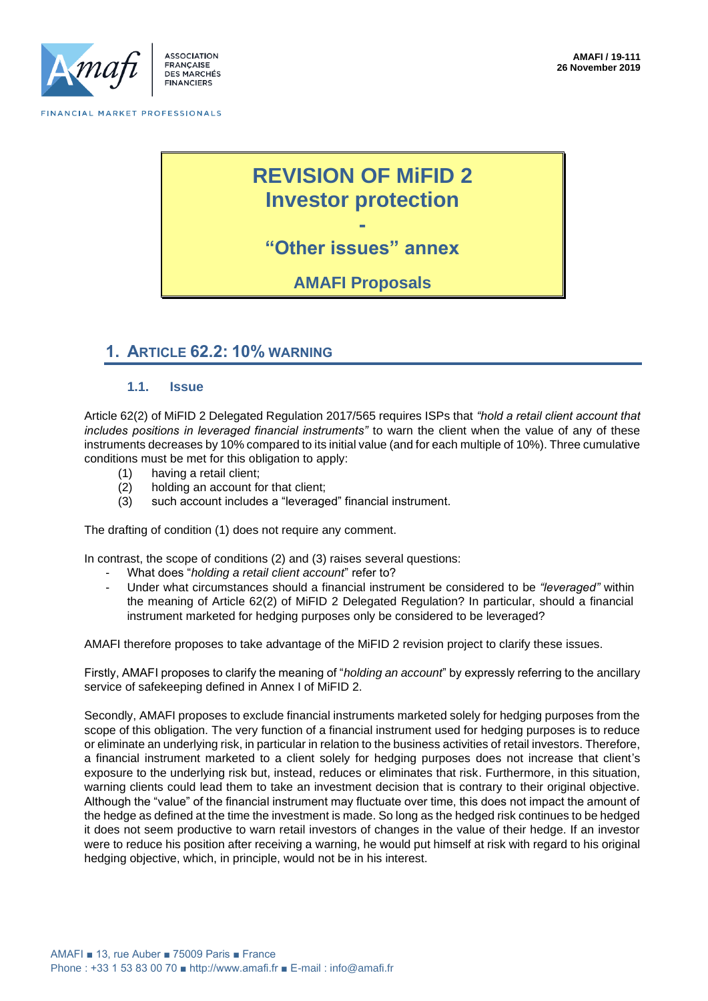

**FRANCAISE DES MARCHÉS FINANCIERS** 

FINANCIAL MARKET PROFESSIONALS

# **REVISION OF MiFID 2 Investor protection**

**- "Other issues" annex**

**AMAFI Proposals**

# **1. ARTICLE 62.2: 10% WARNING**

#### **1.1. Issue**

Article 62(2) of MiFID 2 Delegated Regulation 2017/565 requires ISPs that *"hold a retail client account that includes positions in leveraged financial instruments"* to warn the client when the value of any of these instruments decreases by 10% compared to its initial value (and for each multiple of 10%). Three cumulative conditions must be met for this obligation to apply:

- (1) having a retail client;
- (2) holding an account for that client;
- (3) such account includes a "leveraged" financial instrument.

The drafting of condition (1) does not require any comment.

In contrast, the scope of conditions (2) and (3) raises several questions:

- What does "*holding a retail client account*" refer to?
- Under what circumstances should a financial instrument be considered to be *"leveraged"* within the meaning of Article 62(2) of MiFID 2 Delegated Regulation? In particular, should a financial instrument marketed for hedging purposes only be considered to be leveraged?

AMAFI therefore proposes to take advantage of the MiFID 2 revision project to clarify these issues.

Firstly, AMAFI proposes to clarify the meaning of "*holding an account*" by expressly referring to the ancillary service of safekeeping defined in Annex I of MiFID 2.

Secondly, AMAFI proposes to exclude financial instruments marketed solely for hedging purposes from the scope of this obligation. The very function of a financial instrument used for hedging purposes is to reduce or eliminate an underlying risk, in particular in relation to the business activities of retail investors. Therefore, a financial instrument marketed to a client solely for hedging purposes does not increase that client's exposure to the underlying risk but, instead, reduces or eliminates that risk. Furthermore, in this situation, warning clients could lead them to take an investment decision that is contrary to their original objective. Although the "value" of the financial instrument may fluctuate over time, this does not impact the amount of the hedge as defined at the time the investment is made. So long as the hedged risk continues to be hedged it does not seem productive to warn retail investors of changes in the value of their hedge. If an investor were to reduce his position after receiving a warning, he would put himself at risk with regard to his original hedging objective, which, in principle, would not be in his interest.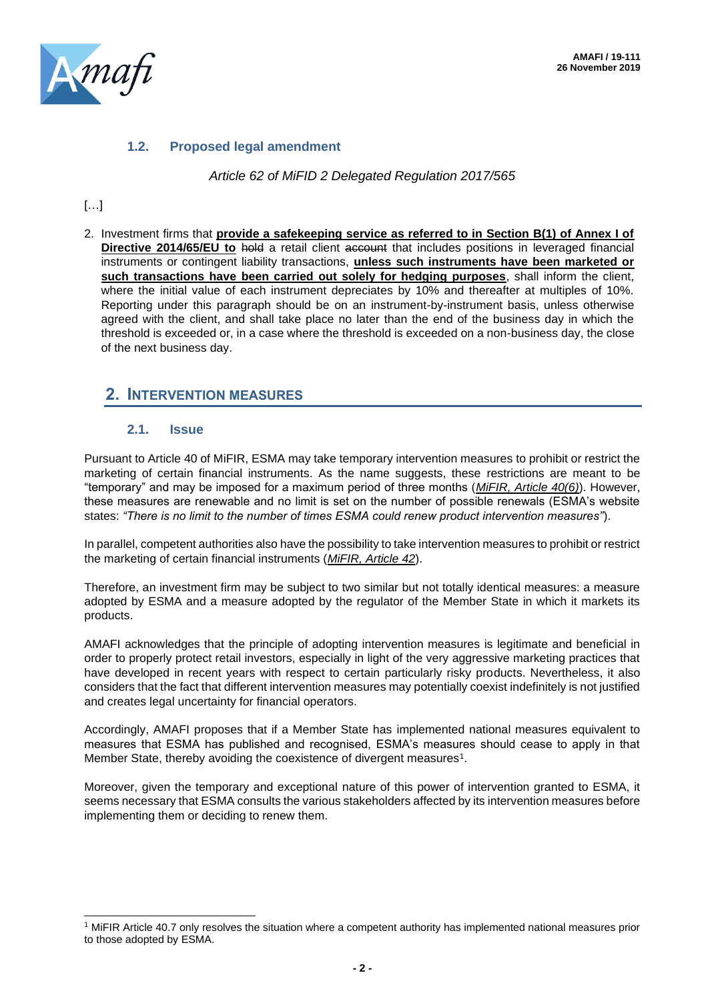

## **1.2. Proposed legal amendment**

*Article 62 of MiFID 2 Delegated Regulation 2017/565*

# […]

2. Investment firms that **provide a safekeeping service as referred to in Section B(1) of Annex I of Directive 2014/65/EU to** hold a retail client account that includes positions in leveraged financial instruments or contingent liability transactions, **unless such instruments have been marketed or such transactions have been carried out solely for hedging purposes**, shall inform the client, where the initial value of each instrument depreciates by 10% and thereafter at multiples of 10%. Reporting under this paragraph should be on an instrument-by-instrument basis, unless otherwise agreed with the client, and shall take place no later than the end of the business day in which the threshold is exceeded or, in a case where the threshold is exceeded on a non-business day, the close of the next business day.

# **2. INTERVENTION MEASURES**

## **2.1. Issue**

Pursuant to Article 40 of MiFIR, ESMA may take temporary intervention measures to prohibit or restrict the marketing of certain financial instruments. As the name suggests, these restrictions are meant to be "temporary" and may be imposed for a maximum period of three months (*MiFIR, Article 40(6)*). However, these measures are renewable and no limit is set on the number of possible renewals (ESMA's website states: *"There is no limit to the number of times ESMA could renew product intervention measures"*).

In parallel, competent authorities also have the possibility to take intervention measures to prohibit or restrict the marketing of certain financial instruments (*MiFIR, Article 42*).

Therefore, an investment firm may be subject to two similar but not totally identical measures: a measure adopted by ESMA and a measure adopted by the regulator of the Member State in which it markets its products.

AMAFI acknowledges that the principle of adopting intervention measures is legitimate and beneficial in order to properly protect retail investors, especially in light of the very aggressive marketing practices that have developed in recent years with respect to certain particularly risky products. Nevertheless, it also considers that the fact that different intervention measures may potentially coexist indefinitely is not justified and creates legal uncertainty for financial operators.

Accordingly, AMAFI proposes that if a Member State has implemented national measures equivalent to measures that ESMA has published and recognised, ESMA's measures should cease to apply in that Member State, thereby avoiding the coexistence of divergent measures<sup>1</sup>.

Moreover, given the temporary and exceptional nature of this power of intervention granted to ESMA, it seems necessary that ESMA consults the various stakeholders affected by its intervention measures before implementing them or deciding to renew them.

<sup>1</sup> MiFIR Article 40.7 only resolves the situation where a competent authority has implemented national measures prior to those adopted by ESMA.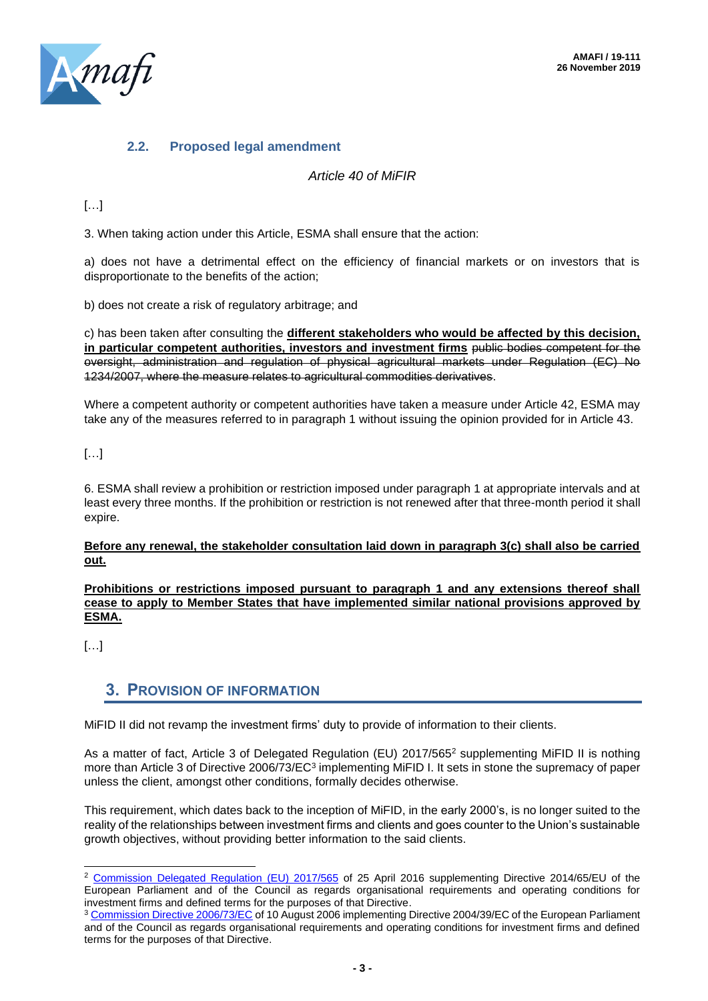

# **2.2. Proposed legal amendment**

## *Article 40 of MiFIR*

## […]

3. When taking action under this Article, ESMA shall ensure that the action:

a) does not have a detrimental effect on the efficiency of financial markets or on investors that is disproportionate to the benefits of the action;

b) does not create a risk of regulatory arbitrage; and

c) has been taken after consulting the **different stakeholders who would be affected by this decision,**  in particular competent authorities, investors and investment firms public bodies competent for the oversight, administration and regulation of physical agricultural markets under Regulation (EC) No 1234/2007, where the measure relates to agricultural commodities derivatives.

Where a competent authority or competent authorities have taken a measure under Article 42, ESMA may take any of the measures referred to in paragraph 1 without issuing the opinion provided for in Article 43.

[…]

6. ESMA shall review a prohibition or restriction imposed under paragraph 1 at appropriate intervals and at least every three months. If the prohibition or restriction is not renewed after that three-month period it shall expire.

#### **Before any renewal, the stakeholder consultation laid down in paragraph 3(c) shall also be carried out.**

#### **Prohibitions or restrictions imposed pursuant to paragraph 1 and any extensions thereof shall cease to apply to Member States that have implemented similar national provisions approved by ESMA.**

[…]

# **3. PROVISION OF INFORMATION**

MiFID II did not revamp the investment firms' duty to provide of information to their clients.

As a matter of fact, Article 3 of Delegated Regulation (EU) 2017/565<sup>2</sup> supplementing MiFID II is nothing more than Article 3 of Directive 2006/73/EC<sup>3</sup> implementing MiFID I. It sets in stone the supremacy of paper unless the client, amongst other conditions, formally decides otherwise.

This requirement, which dates back to the inception of MiFID, in the early 2000's, is no longer suited to the reality of the relationships between investment firms and clients and goes counter to the Union's sustainable growth objectives, without providing better information to the said clients.

<sup>2</sup> [Commission Delegated Regulation \(EU\) 2017/565](file:///C:/Users/Claire%20Boiget/AppData/Local/Microsoft/Windows/INetCache/Content.Outlook/ADSQ3W5D/COMMISSION%20DELEGATED%20REGULATION%20(EU)%202017/565%20of%2025%20April%202016%20supplementing%20Directive%202014/65/EU%20of%20the%20European%20Parliament%20and%20of%20the%20Council%20as%20regards%20organisational%20requirements%20and%20operating%20conditions%20for%20investment%20firms%20and%20defined%20terms%20for%20the%20purposes%20of%20that%20Directive) of 25 April 2016 supplementing Directive 2014/65/EU of the European Parliament and of the Council as regards organisational requirements and operating conditions for investment firms and defined terms for the purposes of that Directive.

<sup>&</sup>lt;sup>3</sup> [Commission Directive 2006/73/EC](file:///C:/Users/Claire%20Boiget/AppData/Local/Microsoft/Windows/INetCache/Content.Outlook/ADSQ3W5D/COMMISSION%20DIRECTIVE%202006/73/EC%20of%2010%20August%202006%20implementing%20Directive%202004/39/EC%20of%20the%20European%20Parliament%20and%20of%20the%20Council%20as%20regards%20organisational%20requirements%20and%20operating%20conditions%20for%20investment%20firms%20and%20defined%20terms%20for%20the%20purposes%20of%20that%20Directive) of 10 August 2006 implementing Directive 2004/39/EC of the European Parliament and of the Council as regards organisational requirements and operating conditions for investment firms and defined terms for the purposes of that Directive.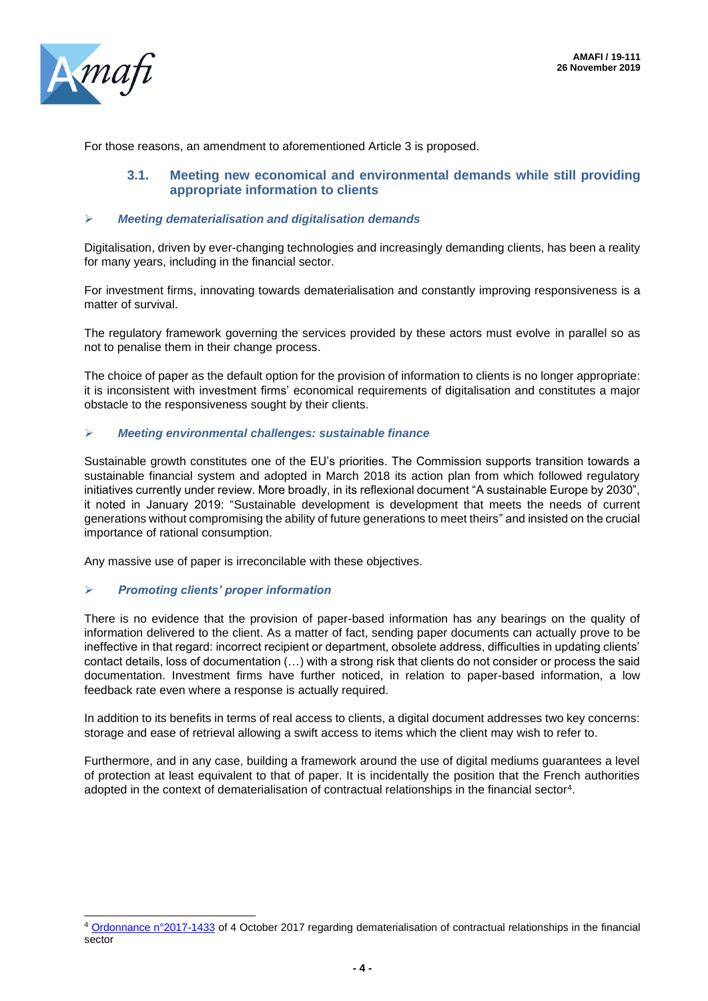

For those reasons, an amendment to aforementioned Article 3 is proposed.

## **3.1. Meeting new economical and environmental demands while still providing appropriate information to clients**

#### ➢ *Meeting dematerialisation and digitalisation demands*

Digitalisation, driven by ever-changing technologies and increasingly demanding clients, has been a reality for many years, including in the financial sector.

For investment firms, innovating towards dematerialisation and constantly improving responsiveness is a matter of survival.

The regulatory framework governing the services provided by these actors must evolve in parallel so as not to penalise them in their change process.

The choice of paper as the default option for the provision of information to clients is no longer appropriate: it is inconsistent with investment firms' economical requirements of digitalisation and constitutes a major obstacle to the responsiveness sought by their clients.

#### ➢ *Meeting environmental challenges: sustainable finance*

Sustainable growth constitutes one of the EU's priorities. The Commission supports transition towards a sustainable financial system and adopted in March 2018 its action plan from which followed regulatory initiatives currently under review. More broadly, in its reflexional document "A sustainable Europe by 2030", it noted in January 2019: "Sustainable development is development that meets the needs of current generations without compromising the ability of future generations to meet theirs" and insisted on the crucial importance of rational consumption.

Any massive use of paper is irreconcilable with these objectives.

#### ➢ *Promoting clients' proper information*

There is no evidence that the provision of paper-based information has any bearings on the quality of information delivered to the client. As a matter of fact, sending paper documents can actually prove to be ineffective in that regard: incorrect recipient or department, obsolete address, difficulties in updating clients' contact details, loss of documentation (…) with a strong risk that clients do not consider or process the said documentation. Investment firms have further noticed, in relation to paper-based information, a low feedback rate even where a response is actually required.

In addition to its benefits in terms of real access to clients, a digital document addresses two key concerns: storage and ease of retrieval allowing a swift access to items which the client may wish to refer to.

Furthermore, and in any case, building a framework around the use of digital mediums guarantees a level of protection at least equivalent to that of paper. It is incidentally the position that the French authorities adopted in the context of dematerialisation of contractual relationships in the financial sector<sup>4</sup>.

<sup>4</sup> [Ordonnance n°2017-1433](https://www.legifrance.gouv.fr/affichTexte.do?cidTexte=JORFTEXT000035720869&categorieLien=id) of 4 October 2017 regarding dematerialisation of contractual relationships in the financial sector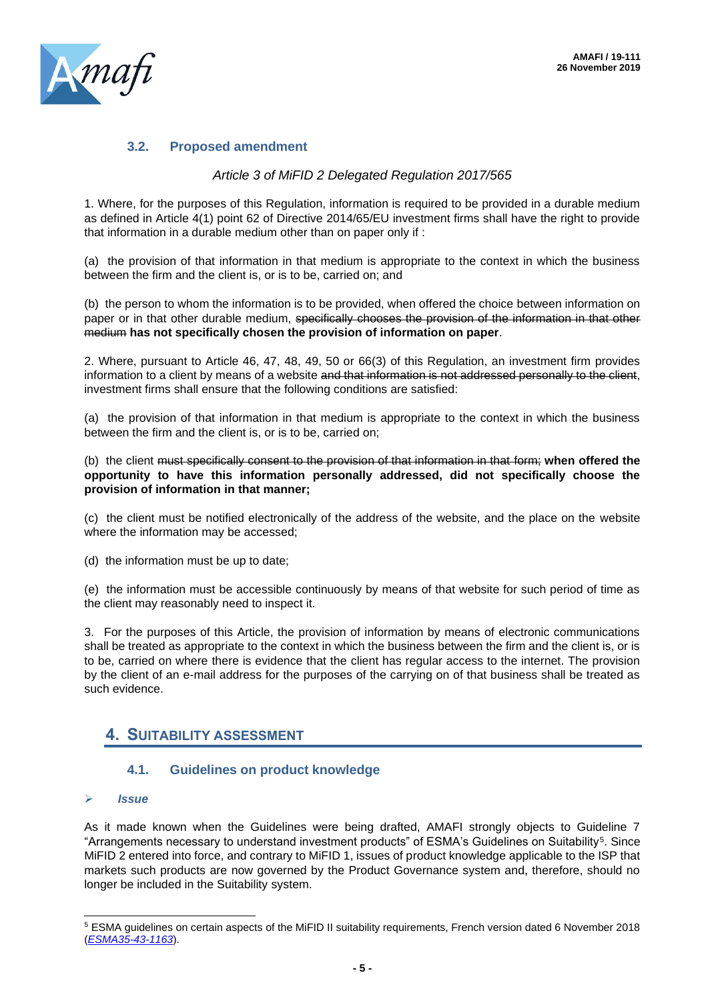

## **3.2. Proposed amendment**

#### *Article 3 of MiFID 2 Delegated Regulation 2017/565*

1. Where, for the purposes of this Regulation, information is required to be provided in a durable medium as defined in Article 4(1) point 62 of Directive 2014/65/EU investment firms shall have the right to provide that information in a durable medium other than on paper only if :

(a) the provision of that information in that medium is appropriate to the context in which the business between the firm and the client is, or is to be, carried on; and

(b) the person to whom the information is to be provided, when offered the choice between information on paper or in that other durable medium, specifically chooses the provision of the information in that other medium **has not specifically chosen the provision of information on paper**.

2. Where, pursuant to Article 46, 47, 48, 49, 50 or 66(3) of this Regulation, an investment firm provides information to a client by means of a website and that information is not addressed personally to the client, investment firms shall ensure that the following conditions are satisfied:

(a) the provision of that information in that medium is appropriate to the context in which the business between the firm and the client is, or is to be, carried on;

(b) the client must specifically consent to the provision of that information in that form; **when offered the opportunity to have this information personally addressed, did not specifically choose the provision of information in that manner;** 

(c) the client must be notified electronically of the address of the website, and the place on the website where the information may be accessed;

(d) the information must be up to date;

(e) the information must be accessible continuously by means of that website for such period of time as the client may reasonably need to inspect it.

3. For the purposes of this Article, the provision of information by means of electronic communications shall be treated as appropriate to the context in which the business between the firm and the client is, or is to be, carried on where there is evidence that the client has regular access to the internet. The provision by the client of an e-mail address for the purposes of the carrying on of that business shall be treated as such evidence.

# **4. SUITABILITY ASSESSMENT**

## **4.1. Guidelines on product knowledge**

➢ *Issue*

As it made known when the Guidelines were being drafted, AMAFI strongly objects to Guideline 7 "Arrangements necessary to understand investment products" of ESMA's Guidelines on Suitability<sup>5</sup>. Since MiFID 2 entered into force, and contrary to MiFID 1, issues of product knowledge applicable to the ISP that markets such products are now governed by the Product Governance system and, therefore, should no longer be included in the Suitability system.

<sup>5</sup> ESMA guidelines on certain aspects of the MiFID II suitability requirements, French version dated 6 November 2018 (*[ESMA35-43-1163](https://www.esma.europa.eu/sites/default/files/library/esma35-43-1163_guidelines_on_certain_aspects_of_mifid_ii_suitability_requirements_fr.pdf)*).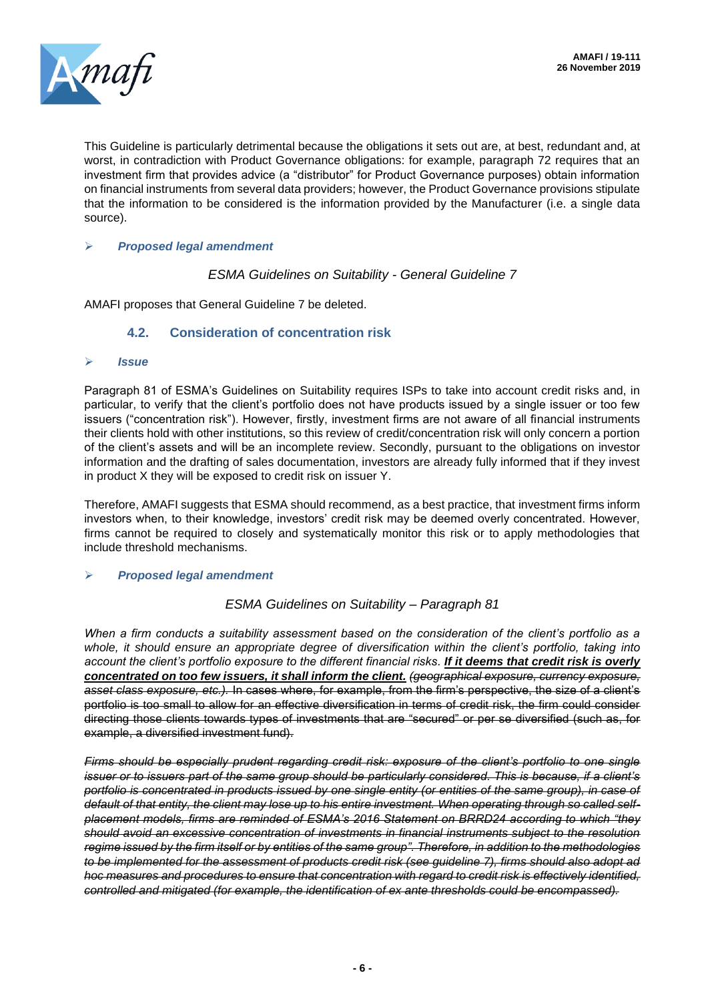

This Guideline is particularly detrimental because the obligations it sets out are, at best, redundant and, at worst, in contradiction with Product Governance obligations: for example, paragraph 72 requires that an investment firm that provides advice (a "distributor" for Product Governance purposes) obtain information on financial instruments from several data providers; however, the Product Governance provisions stipulate that the information to be considered is the information provided by the Manufacturer (i.e. a single data source).

#### ➢ *Proposed legal amendment*

*ESMA Guidelines on Suitability - General Guideline 7*

AMAFI proposes that General Guideline 7 be deleted.

#### **4.2. Consideration of concentration risk**

#### ➢ *Issue*

Paragraph 81 of ESMA's Guidelines on Suitability requires ISPs to take into account credit risks and, in particular, to verify that the client's portfolio does not have products issued by a single issuer or too few issuers ("concentration risk"). However, firstly, investment firms are not aware of all financial instruments their clients hold with other institutions, so this review of credit/concentration risk will only concern a portion of the client's assets and will be an incomplete review. Secondly, pursuant to the obligations on investor information and the drafting of sales documentation, investors are already fully informed that if they invest in product X they will be exposed to credit risk on issuer Y.

Therefore, AMAFI suggests that ESMA should recommend, as a best practice, that investment firms inform investors when, to their knowledge, investors' credit risk may be deemed overly concentrated. However, firms cannot be required to closely and systematically monitor this risk or to apply methodologies that include threshold mechanisms.

#### ➢ *Proposed legal amendment*

#### *ESMA Guidelines on Suitability – Paragraph 81*

*When a firm conducts a suitability assessment based on the consideration of the client's portfolio as a whole, it should ensure an appropriate degree of diversification within the client's portfolio, taking into account the client's portfolio exposure to the different financial risks. If it deems that credit risk is overly concentrated on too few issuers, it shall inform the client. (geographical exposure, currency exposure, asset class exposure, etc.).* In cases where, for example, from the firm's perspective, the size of a client's portfolio is too small to allow for an effective diversification in terms of credit risk, the firm could consider directing those clients towards types of investments that are "secured" or per se diversified (such as, for example, a diversified investment fund).

*Firms should be especially prudent regarding credit risk: exposure of the client's portfolio to one single issuer or to issuers part of the same group should be particularly considered. This is because, if a client's portfolio is concentrated in products issued by one single entity (or entities of the same group), in case of default of that entity, the client may lose up to his entire investment. When operating through so called selfplacement models, firms are reminded of ESMA's 2016 Statement on BRRD24 according to which "they should avoid an excessive concentration of investments in financial instruments subject to the resolution regime issued by the firm itself or by entities of the same group". Therefore, in addition to the methodologies to be implemented for the assessment of products credit risk (see guideline 7), firms should also adopt ad hoc measures and procedures to ensure that concentration with regard to credit risk is effectively identified, controlled and mitigated (for example, the identification of ex ante thresholds could be encompassed).*